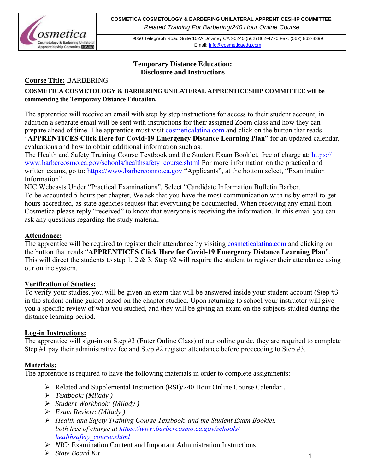

# **Temporary Distance Education: Disclosure and Instructions**

# **Course Title:** BARBERING

# **COSMETICA COSMETOLOGY & BARBERING UNILATERAL APPRENTICESHIP COMMITTEE will be commencing the Temporary Distance Education.**

The apprentice will receive an email with step by step instructions for access to their student account, in addition a separate email will be sent with instructions for their assigned Zoom class and how they can prepare ahead of time. The apprentice must visit cosmeticalatina.com and click on the button that reads "**[APPRENTICES Click Here for Covid-19 Emerge](https://www.barbercosmo.ca.gov/schools/heathsafety_course)ncy Distance Learning Plan**" for an updated calendar,

evaluations and how to obtain additional information su[ch as:](https://www.barbercosmo.ca.gov/) 

The Health and Safety Training Course Textbook and the Student Exam Booklet, free of charge at: https:// www.barbercosmo.ca.gov/schools/healthsafety\_course.shtml For more information on the practical and written exams, go to: https://www.barbercosmo.ca.gov "Applicants", at the bottom select, "Examination" Information"

NIC Webcasts Under "Practical Examinations", Select "Candidate Information Bulletin Barber. To be accounted 5 hours per chapter, We ask that you have the most communication with us by email to get hours accredited, as state agencies request that everything be documented. When receiving any email from Cosmetica please reply "received" to know that everyone is receiving the information. In this email you can ask any questions regarding the study material.

# **Attendance:**

The apprentice will be required to register their attendance by visiting cosmeticalatina.com and clicking on the button that reads "**APPRENTICES Click Here for Covid-19 Emergency Distance Learning Plan**". This will direct the students to step 1, 2  $\&$  3. Step #2 will require the student to register their attendance using our online system.

# **Verification of Studies:**

To verify your studies, you will be given an exam that will be answered inside your student account (Step #3 in the student online guide) based on the chapter studied. Upon returning to school your instructor will give you a specific review of what you studied, and they will be giving an exam on the subjects studied during the distance learning period.

# **Log-in Instructions:**

The apprentice will sign-in on Step #3 (Enter Online Class) of our online guide, they are required to complete Step #1 pay their administrative fee and Step #2 register attendance before proceeding to Step #3.

# **Materials:**

The apprentice is required to have the following materials in order to complete assignments:

- Related and Supplemental Instruction (RSI)/240 Hour Online Course Calendar .
- *Textbook: (Milady )*
- *Student Workbook: (Milady )*
- *Exam Review: (Milady )*
- *Health and Safety Training Course Textbook, and the Student Exam Booklet, both free of charge at https://www.barbercosmo.ca.gov/schools/ healthsafety\_course.shtml*
- *NIC:* Examination Content and Important Administration Instructions
- *State Board Kit*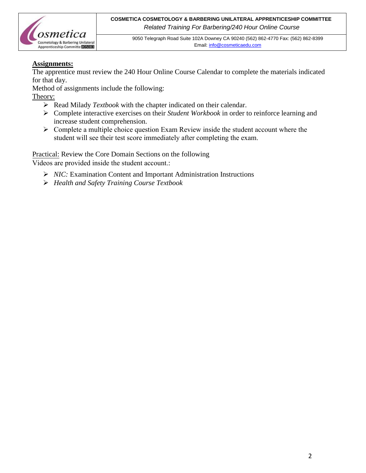

# **Assignments:**

The apprentice must review the 240 Hour Online Course Calendar to complete the materials indicated for that day.

Method of assignments include the following:

Theory:

- Read Milady *Textbook* with the chapter indicated on their calendar.
- Complete interactive exercises on their *Student Workbook* in order to reinforce learning and increase student comprehension.
- $\triangleright$  Complete a multiple choice question Exam Review inside the student account where the [student will see their test](mailto:info@cosmeticaedu.com) score immediately after completing the exam.

Practical: Review the Core Domain Sections on the following Videos are provided inside the student account.:

- ▶ <i>NIC</i>: Examination Content and Important Administration Instruments
- *Health and Safety Training Course Textbook*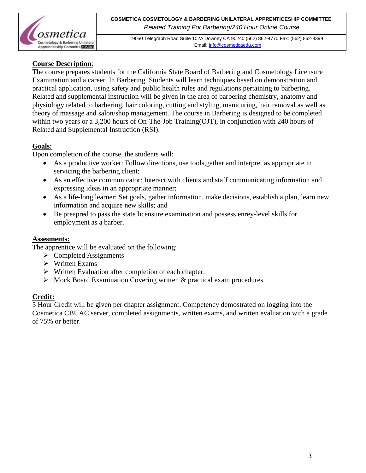

# **Course Description**:

The course prepares students for the California State Board of Barbering and Cosmetology Licensure Examination and a career. In Barbering. Students will learn techniques based on demonstration and practical application, using safety and public health rules and regulations pertaining to barbering. Related and supplemental instruction will be given in the area of barbering chemistry, anatomy and physiology related to barbering, hair coloring, cutting and styling, manicuring, hair removal as well as theory of massage and salon/shop management. The course in Barbering is designed to be completed within two years or a 3,200 hours of On-The-Job Training(OJT), in conjunction with 240 hours of Related and Supplemental Instruction (RSI).

# **Goals:**

Upon completion of the course, the students will:

- As a productive worker: Follow directions, use tools,gather and interpret as appropriate in servicing the barbering client;
- As an effective communicator: Interact with clients and staff communicating information and expressing ideas in an appropriate manner;
- As a life-long learner: Set goals, gather information, make decisions, establish a plan, learn new information and acquire new skills; and
- Be preapred to pass the state licensure examination and possess enrey-level skills for employment as a barber.

# **Assesments:**

The apprentice will be evaluated on the following:

- $\triangleright$  Completed Assignments
- $\triangleright$  Written Exams
- $\triangleright$  Written Evaluation after completion of each chapter.
- $\triangleright$  Mock Board Examination Covering written & practical exam procedures

# **Credit:**

5 Hour Credit will be given per chapter assignment. Competency demostrated on logging into the Cosmetica CBUAC server, completed assignments, written exams, and written evaluation with a grade of 75% or better.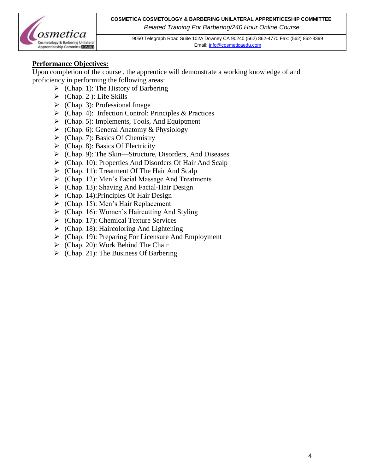**COSMETICA COSMETOLOGY & BARBERING UNILATERAL APPRENTICESHIP COMMITTEE** *Related Training For Barbering/240 Hour Online Course*



9050 Telegraph Road Suite 102A Downey CA 90240 (562) 862-4770 Fax: (562) 862-8399 Email[: info@cosmeticaedu.com](http://info@cosmeticaedu.com)

# **Performance Objectives:**

Upon completion of the course , the apprentice will demonstrate a working knowledge of and proficiency in performing the following areas:

- $\triangleright$  (Chap. 1): The History of Barbering
- $\triangleright$  (Chap. 2): Life Skills
- $\triangleright$  (Chap. 3): Professional Image
- (Chap. 4): Infection Control: Principles & Practices
- **(**Chap. 5): Implements, Tools, And Equiptment
- $\triangleright$  (Chap. 6): General Anatomy & Physiology
- $\triangleright$  (Chap. 7): Basics Of Chemistry
- $\triangleright$  (Chap. 8): Basics Of Electricity
- (Chap. 9): The Skin—Structure, Disorders, And Diseases
- $\triangleright$  (Chap. 10): Properties And Disorders Of Hair And Scalp
- $\triangleright$  (Chap. 11): Treatment Of The Hair And Scalp
- $\triangleright$  (Chap. 12): Men's Facial Massage And Treatments
- $\triangleright$  (Chap. 13): Shaving And Facial-Hair Design
- $\triangleright$  (Chap. 14): Principles Of Hair Design
- $\triangleright$  (Chap. 15): Men's Hair Replacement
- $\triangleright$  (Chap. 16): Women's Haircutting And Styling
- $\triangleright$  (Chap. 17): Chemical Texture Services
- $\triangleright$  (Chap. 18): Haircoloring And Lightening
- $\triangleright$  (Chap. 19): Preparing For Licensure And Employment
- $\triangleright$  (Chap. 20): Work Behind The Chair
- $\triangleright$  (Chap. 21): The Business Of Barbering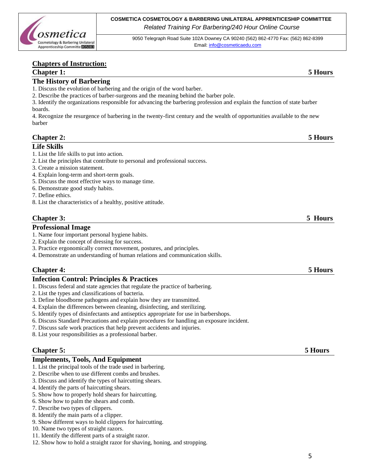

# **Chapters of Instruction:**

### **Chapter 1: 5 Hours**

## **The History of Barbering**

- 1. Discuss the evolution of barbering and the origin of the word barber.
- 2. Describe the practices of barber-surgeons and the meaning behind the barber pole.

3. Identify the organizations responsible for advancing the barbering profession and explain the function of state barber boards.

4. Recognize the resurgence of barbering in the twenty-first century and the wealth of opportunities available to the new barber

## **Chapter 2: 5 Hours**

### **Life Skills**

- 1. List the life skills to put into action.
- 2. List the principles that contribute to personal and professional success.
- 3. Create a mission statement.
- 4. Explain long-term and short-term goals.
- 5. Discuss the most effective ways to manage time.
- 6. Demonstrate good study habits.
- 7. Define ethics.
- 8. List the characteristics of a healthy, positive attitude.

# **Chapter 3: 5 Hours**

### **Professional Image**

- 1. Name four important personal hygiene habits.
- 2. Explain the concept of dressing for success.
- 3. Practice ergonomically correct movement, postures, and principles.
- 4. Demonstrate an understanding of human relations and communication skills.

# **Chapter 4: 5 Hours**

## **Infection Control: Principles & Practices**

- 1. Discuss federal and state agencies that regulate the practice of barbering.
- 2. List the types and classifications of bacteria.
- 3. Define bloodborne pathogens and explain how they are transmitted.
- 4. Explain the differences between cleaning, disinfecting, and sterilizing.
- 5. Identify types of disinfectants and antiseptics appropriate for use in barbershops.
- 6. Discuss Standard Precautions and explain procedures for handling an exposure incident.
- 7. Discuss safe work practices that help prevent accidents and injuries.
- 8. List your responsibilities as a professional barber.

## **Chapter 5:** 5 **Hours**

### **Implements, Tools, And Equipment**

- 1. List the principal tools of the trade used in barbering.
- 2. Describe when to use different combs and brushes.
- 3. Discuss and identify the types of haircutting shears.
- 4. Identify the parts of haircutting shears.
- 5. Show how to properly hold shears for haircutting.
- 6. Show how to palm the shears and comb.
- 7. Describe two types of clippers.
- 8. Identify the main parts of a clipper.
- 9. Show different ways to hold clippers for haircutting.
- 10. Name two types of straight razors.
- 11. Identify the different parts of a straight razor.
- 12. Show how to hold a straight razor for shaving, honing, and stropping.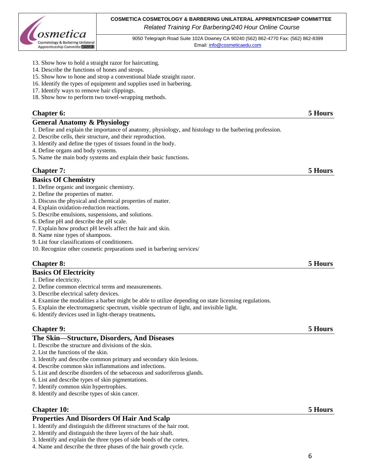

**COSMETICA COSMETOLOGY & BARBERING UNILATERAL APPRENTICESHIP COMMITTEE** *Related Training For Barbering/240 Hour Online Course*

9050 Telegraph Road Suite 102A Downey CA 90240 (562) 862-4770 Fax: (562) 862-8399 Email[: info@cosmeticaedu.com](http://info@cosmeticaedu.com)

- 13. Show how to hold a straight razor for haircutting.
- 14. Describe the functions of hones and strops.
- 15. Show how to hone and strop a conventional blade straight razor.
- 16. Identify the types of equipment and supplies used in barbering.
- 17. Identify ways to remove hair clippings.
- 18. Show how to perform two towel-wrapping methods.

# **Chapter 6: 5 Hours**

### **General Anatomy & Physiology**

- 1. Define and explain the importance of anatomy, physiology, and histology to the barbering profession.
- 2. Describe cells, their structure, and their reproduction.
- 3. Identify and define the types of tissues found in the body.
- 4. Define organs and body systems.
- 5. Name the main body systems and explain their basic functions.

## **Chapter 7: 5 Hours**

### **Basics Of Chemistry**

- 1. Define organic and inorganic chemistry.
- 2. Define the properties of matter.
- 3. Discuss the physical and chemical properties of matter.
- 4. Explain oxidation-reduction reactions.
- 5. Describe emulsions, suspensions, and solutions.
- 6. Define pH and describe the pH scale.
- 7. Explain how product pH levels affect the hair and skin.
- 8. Name nine types of shampoos.
- 9. List four classifications of conditioners.
- 10. Recognize other cosmetic preparations used in barbering services/

# **Chapter 8: 5 Hours**

### **Basics Of Electricity**

- 1. Define electricity.
- 2. Define common electrical terms and measurements.
- 3. Describe electrical safety devices.
- 4. Examine the modalities a barber might be able to utilize depending on state licensing regulations.
- 5. Explain the electromagnetic spectrum, visible spectrum of light, and invisible light.
- 6. Identify devices used in light-therapy treatments**.**

## **Chapter 9: 5 Hours**

### **The Skin—Structure, Disorders, And Diseases**

### 1. Describe the structure and divisions of the skin.

- 2. List the functions of the skin.
- 3. Identify and describe common primary and secondary skin lesions.
- 4. Describe common skin inflammations and infections.
- 5. List and describe disorders of the sebaceous and sudoriferous glands.
- 6. List and describe types of skin pigmentations.
- 7. Identify common skin hypertrophies.
- 8. Identify and describe types of skin cancer.

## **Chapter 10: 5 Hours**

### **Properties And Disorders Of Hair And Scalp**

- 1. Identify and distinguish the different structures of the hair root.
- 2. Identify and distinguish the three layers of the hair shaft.
- 3. Identify and explain the three types of side bonds of the cortex.
- 4. Name and describe the three phases of the hair growth cycle.

# 6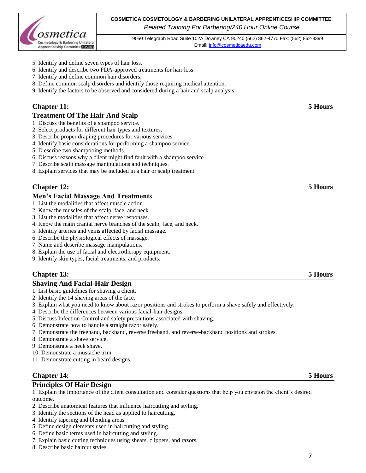

## **COSMETICA COSMETOLOGY & BARBERING UNILATERAL APPRENTICESHIP COMMITTEE** *Related Training For Barbering/240 Hour Online Course*

9050 Telegraph Road Suite 102A Downey CA 90240 (562) 862-4770 Fax: (562) 862-8399 Email[: info@cosmeticaedu.com](http://info@cosmeticaedu.com)

- 5. Identify and define seven types of hair loss.
- 6. Identify and describe two FDA-approved treatments for hair loss.
- 7. Identify and define common hair disorders.
- 8. Define common scalp disorders and identify those requiring medical attention.
- 9. Identify the factors to be observed and considered during a hair and scalp analysis.

## **Chapter 11: 5 Hours**

### **Treatment Of The Hair And Scalp**

- 1. Discuss the benefits of a shampoo service.
- 2. Select products for different hair types and textures.
- 3. Describe proper draping procedures for various services.
- 4. Identify basic considerations for performing a shampoo service.
- 5. D escribe two shampooing methods.
- 6. Discuss reasons why a client might find fault with a shampoo service.
- 7. Describe scalp massage manipulations and techniques.
- 8. Explain services that may be included in a hair or scalp treatment.

# **Chapter 12: 5 Hours**

### **Men's Facial Massage And Treatments**

- 1. List the modalities that affect muscle action.
- 2. Know the muscles of the scalp, face, and neck.
- 3. List the modalities that affect nerve responses.
- 4. Know the main cranial nerve branches of the scalp, face, and neck.
- 5. Identify arteries and veins affected by facial massage.
- 6. Describe the physiological effects of massage.
- 7. Name and describe massage manipulations.
- 8. Explain the use of facial and electrotherapy equipment.
- 9. Identify skin types, facial treatments, and products.

## **Chapter 13: 5 Hours**

# **Shaving And Facial-Hair Design**

- 1. List basic guidelines for shaving a client.
- 2. Identify the 14 shaving areas of the face.
- 3. Explain what you need to know about razor positions and strokes to perform a shave safely and effectively.
- 4. Describe the differences between various facial-hair designs.
- 5. Discuss Infection Control and safety precautions associated with shaving.
- 6. Demonstrate how to handle a straight razor safely.
- 7. Demonstrate the freehand, backhand, reverse freehand, and reverse-backhand positions and strokes.
- 8. Demonstrate a shave service.
- 9. Demonstrate a neck shave.
- 10. Demonstrate a mustache trim.
- 11. Demonstrate cutting in beard designs.

# **Chapter 14: 5 Hours**

### **Principles Of Hair Design**

1. Explain the importance of the client consultation and consider questions that help you envision the client's desired outcome.

- 2. Describe anatomical features that influence haircutting and styling.
- 3. Identify the sections of the head as applied to haircutting.
- 4. Identify tapering and blending areas.
- 5. Define design elements used in haircutting and styling.
- 6. Define basic terms used in haircutting and styling.
- 7. Explain basic cutting techniques using shears, clippers, and razors.
- 8. Describe basic haircut styles.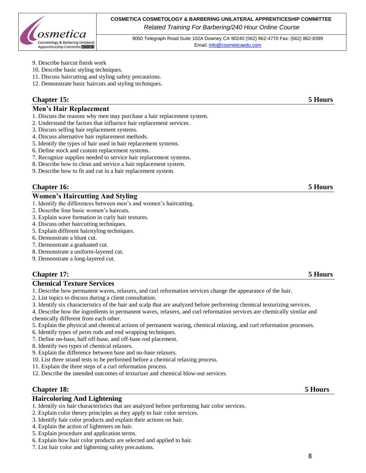

- 9. Describe haircut finish work
- 10. Describe basic styling techniques.
- 11. Discuss haircutting and styling safety precautions.
- 12. Demonstrate basic haircuts and styling techniques.

# **Chapter 15: 5 Hours**

### **Men's Hair Replacement**

- 1. Discuss the reasons why men may purchase a hair replacement system.
- 2. Understand the factors that influence hair replacement services.
- 3. Discuss selling hair replacement systems.
- 4. Discuss alternative hair replacement methods.
- 5. Identify the types of hair used in hair replacement systems.
- 6. Define stock and custom replacement systems.
- 7. Recognize supplies needed to service hair replacement systems.
- 8. Describe how to clean and service a hair replacement system.
- 9. Describe how to fit and cut in a hair replacement system.

# **Chapter 16: 5 Hours**

# **Women's Haircutting And Styling**

- 1. Identify the differences between men's and women's haircutting.
- 2. Describe four basic women's haircuts.
- 3. Explain wave formation in curly hair textures.
- 4. Discuss other haircutting techniques.
- 5. Explain different hairstyling techniques.
- 6. Demonstrate a blunt cut.
- 7. Demonstrate a graduated cut.
- 8. Demonstrate a uniform-layered cut.
- 9. Demonstrate a long-layered cut.

## **Chapter 17: 5 Hours**

### **Chemical Texture Services**

- 1. Describe how permanent waves, relaxers, and curl reformation services change the appearance of the hair.
- 2. List topics to discuss during a client consultation.
- 3. Identify six characteristics of the hair and scalp that are analyzed before performing chemical texturizing services.

4. Describe how the ingredients in permanent waves, relaxers, and curl reformation services are chemically similar and chemically different from each other.

- 5. Explain the physical and chemical actions of permanent waving, chemical relaxing, and curl reformation processes.
- 6. Identify types of perm rods and end wrapping techniques.
- 7. Define on-base, half off-base, and off-base rod placement.
- 8. Identify two types of chemical relaxers.
- 9. Explain the difference between base and no-base relaxers.
- 10. List three strand tests to be performed before a chemical relaxing process.
- 11. Explain the three steps of a curl reformation process.
- 12. Describe the intended outcomes of texturizer and chemical blow-out services.

### **Chapter 18: 5 Hours**

# **Haircoloring And Lightening**

- 1. Identify six hair characteristics that are analyzed before performing hair color services.
- 2. Explain color theory principles as they apply to hair color services.
- 3. Identify hair color products and explain their actions on hair.
- 4. Explain the action of lighteners on hair.
- 5. Explain procedure and application terms.
- 6. Explain how hair color products are selected and applied to hair.
- 7. List hair color and lightening safety precautions.

### 8